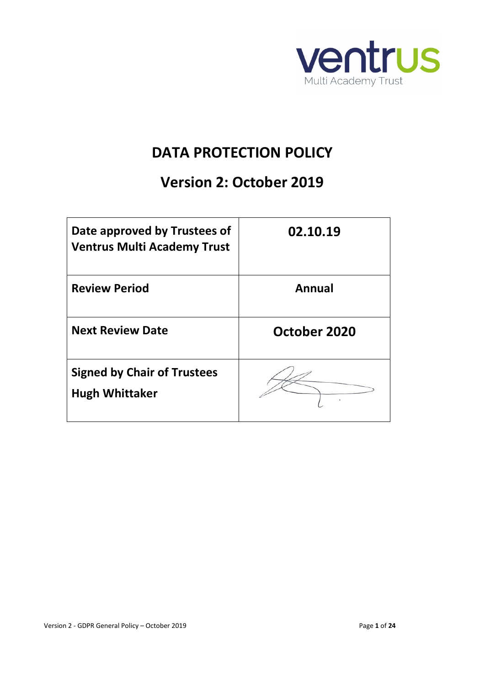

# **DATA PROTECTION POLICY**

# **Version 2: October 2019**

| Date approved by Trustees of<br><b>Ventrus Multi Academy Trust</b> | 02.10.19     |
|--------------------------------------------------------------------|--------------|
| <b>Review Period</b>                                               | Annual       |
| <b>Next Review Date</b>                                            | October 2020 |
| <b>Signed by Chair of Trustees</b><br><b>Hugh Whittaker</b>        |              |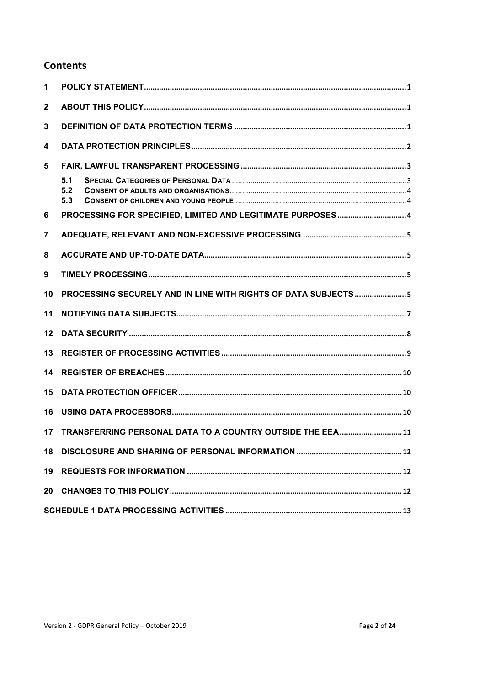#### **Contents**

| 1            |                                                              |
|--------------|--------------------------------------------------------------|
| $\mathbf{2}$ |                                                              |
| 3            |                                                              |
| 4            |                                                              |
| 5            |                                                              |
|              | 5.1<br>5.2<br>5.3                                            |
| 6            |                                                              |
| 7            |                                                              |
| 8            |                                                              |
| 9            |                                                              |
| 10           | PROCESSING SECURELY AND IN LINE WITH RIGHTS OF DATA SUBJECTS |
| 11           |                                                              |
| 12           |                                                              |
| 13           |                                                              |
| 14           |                                                              |
| 15           |                                                              |
| 16           |                                                              |
| 17           | TRANSFERRING PERSONAL DATA TO A COUNTRY OUTSIDE THE EEA 11   |
| 18           |                                                              |
| 19           |                                                              |
| 20           |                                                              |
|              |                                                              |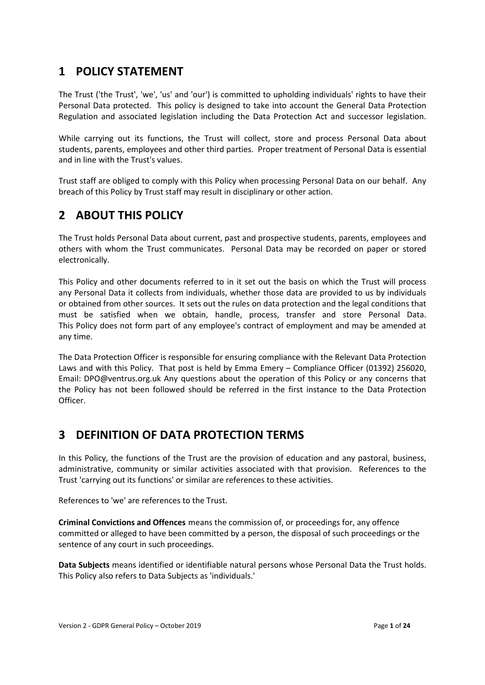## <span id="page-2-0"></span>**1 POLICY STATEMENT**

The Trust ('the Trust', 'we', 'us' and 'our') is committed to upholding individuals' rights to have their Personal Data protected. This policy is designed to take into account the General Data Protection Regulation and associated legislation including the Data Protection Act and successor legislation.

While carrying out its functions, the Trust will collect, store and process Personal Data about students, parents, employees and other third parties. Proper treatment of Personal Data is essential and in line with the Trust's values.

Trust staff are obliged to comply with this Policy when processing Personal Data on our behalf. Any breach of this Policy by Trust staff may result in disciplinary or other action.

# <span id="page-2-1"></span>**2 ABOUT THIS POLICY**

The Trust holds Personal Data about current, past and prospective students, parents, employees and others with whom the Trust communicates. Personal Data may be recorded on paper or stored electronically.

This Policy and other documents referred to in it set out the basis on which the Trust will process any Personal Data it collects from individuals, whether those data are provided to us by individuals or obtained from other sources. It sets out the rules on data protection and the legal conditions that must be satisfied when we obtain, handle, process, transfer and store Personal Data. This Policy does not form part of any employee's contract of employment and may be amended at any time.

The Data Protection Officer is responsible for ensuring compliance with the Relevant Data Protection Laws and with this Policy. That post is held by Emma Emery – Compliance Officer (01392) 256020, Email: [DPO@ventrus.org.uk](mailto:DPO@ventrus.org.uk) Any questions about the operation of this Policy or any concerns that the Policy has not been followed should be referred in the first instance to the Data Protection Officer.

# <span id="page-2-2"></span>**3 DEFINITION OF DATA PROTECTION TERMS**

In this Policy, the functions of the Trust are the provision of education and any pastoral, business, administrative, community or similar activities associated with that provision. References to the Trust 'carrying out its functions' or similar are references to these activities.

References to 'we' are references to the Trust.

**Criminal Convictions and Offences** means the commission of, or proceedings for, any offence committed or alleged to have been committed by a person, the disposal of such proceedings or the sentence of any court in such proceedings.

**Data Subjects** means identified or identifiable natural persons whose Personal Data the Trust holds. This Policy also refers to Data Subjects as 'individuals.'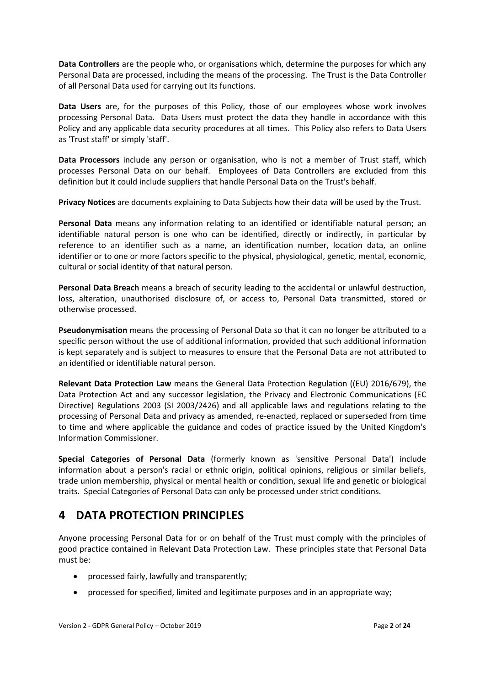**Data Controllers** are the people who, or organisations which, determine the purposes for which any Personal Data are processed, including the means of the processing. The Trust is the Data Controller of all Personal Data used for carrying out its functions.

**Data Users** are, for the purposes of this Policy, those of our employees whose work involves processing Personal Data. Data Users must protect the data they handle in accordance with this Policy and any applicable data security procedures at all times. This Policy also refers to Data Users as 'Trust staff' or simply 'staff'.

**Data Processors** include any person or organisation, who is not a member of Trust staff, which processes Personal Data on our behalf. Employees of Data Controllers are excluded from this definition but it could include suppliers that handle Personal Data on the Trust's behalf.

**Privacy Notices** are documents explaining to Data Subjects how their data will be used by the Trust.

**Personal Data** means any information relating to an identified or identifiable natural person; an identifiable natural person is one who can be identified, directly or indirectly, in particular by reference to an identifier such as a name, an identification number, location data, an online identifier or to one or more factors specific to the physical, physiological, genetic, mental, economic, cultural or social identity of that natural person.

**Personal Data Breach** means a breach of security leading to the accidental or unlawful destruction, loss, alteration, unauthorised disclosure of, or access to, Personal Data transmitted, stored or otherwise processed.

**Pseudonymisation** means the processing of Personal Data so that it can no longer be attributed to a specific person without the use of additional information, provided that such additional information is kept separately and is subject to measures to ensure that the Personal Data are not attributed to an identified or identifiable natural person.

**Relevant Data Protection Law** means the General Data Protection Regulation ((EU) 2016/679), the Data Protection Act and any successor legislation, the Privacy and Electronic Communications (EC Directive) Regulations 2003 (SI 2003/2426) and all applicable laws and regulations relating to the processing of Personal Data and privacy as amended, re-enacted, replaced or superseded from time to time and where applicable the guidance and codes of practice issued by the United Kingdom's Information Commissioner.

**Special Categories of Personal Data** (formerly known as 'sensitive Personal Data') include information about a person's racial or ethnic origin, political opinions, religious or similar beliefs, trade union membership, physical or mental health or condition, sexual life and genetic or biological traits. Special Categories of Personal Data can only be processed under strict conditions.

### <span id="page-3-0"></span>**4 DATA PROTECTION PRINCIPLES**

Anyone processing Personal Data for or on behalf of the Trust must comply with the principles of good practice contained in Relevant Data Protection Law. These principles state that Personal Data must be:

- processed fairly, lawfully and transparently;
- processed for specified, limited and legitimate purposes and in an appropriate way;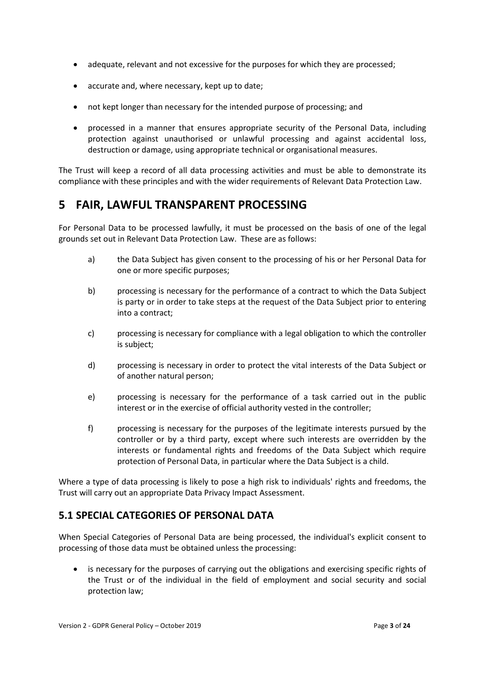- adequate, relevant and not excessive for the purposes for which they are processed;
- accurate and, where necessary, kept up to date;
- not kept longer than necessary for the intended purpose of processing; and
- processed in a manner that ensures appropriate security of the Personal Data, including protection against unauthorised or unlawful processing and against accidental loss, destruction or damage, using appropriate technical or organisational measures.

The Trust will keep a record of all data processing activities and must be able to demonstrate its compliance with these principles and with the wider requirements of Relevant Data Protection Law.

### <span id="page-4-0"></span>**5 FAIR, LAWFUL TRANSPARENT PROCESSING**

For Personal Data to be processed lawfully, it must be processed on the basis of one of the legal grounds set out in Relevant Data Protection Law. These are as follows:

- a) the Data Subject has given consent to the processing of his or her Personal Data for one or more specific purposes;
- b) processing is necessary for the performance of a contract to which the Data Subject is party or in order to take steps at the request of the Data Subject prior to entering into a contract;
- c) processing is necessary for compliance with a legal obligation to which the controller is subject;
- d) processing is necessary in order to protect the vital interests of the Data Subject or of another natural person;
- e) processing is necessary for the performance of a task carried out in the public interest or in the exercise of official authority vested in the controller;
- f) processing is necessary for the purposes of the legitimate interests pursued by the controller or by a third party, except where such interests are overridden by the interests or fundamental rights and freedoms of the Data Subject which require protection of Personal Data, in particular where the Data Subject is a child.

Where a type of data processing is likely to pose a high risk to individuals' rights and freedoms, the Trust will carry out an appropriate Data Privacy Impact Assessment.

#### <span id="page-4-1"></span>**5.1 SPECIAL CATEGORIES OF PERSONAL DATA**

When Special Categories of Personal Data are being processed, the individual's explicit consent to processing of those data must be obtained unless the processing:

• is necessary for the purposes of carrying out the obligations and exercising specific rights of the Trust or of the individual in the field of employment and social security and social protection law;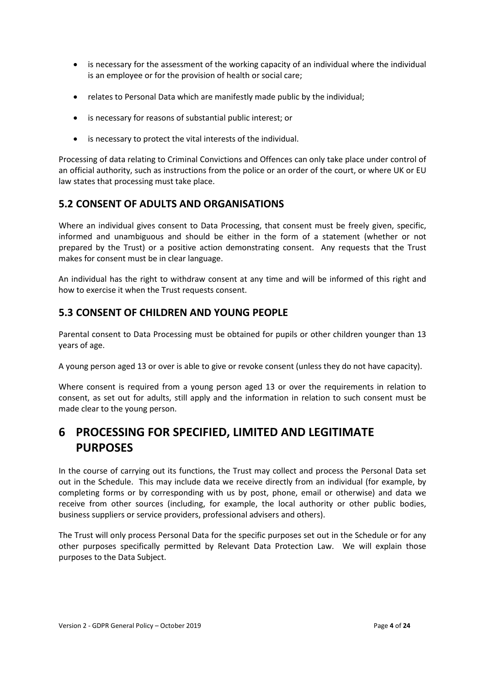- is necessary for the assessment of the working capacity of an individual where the individual is an employee or for the provision of health or social care;
- relates to Personal Data which are manifestly made public by the individual;
- is necessary for reasons of substantial public interest; or
- is necessary to protect the vital interests of the individual.

Processing of data relating to Criminal Convictions and Offences can only take place under control of an official authority, such as instructions from the police or an order of the court, or where UK or EU law states that processing must take place.

#### <span id="page-5-0"></span>**5.2 CONSENT OF ADULTS AND ORGANISATIONS**

Where an individual gives consent to Data Processing, that consent must be freely given, specific, informed and unambiguous and should be either in the form of a statement (whether or not prepared by the Trust) or a positive action demonstrating consent. Any requests that the Trust makes for consent must be in clear language.

An individual has the right to withdraw consent at any time and will be informed of this right and how to exercise it when the Trust requests consent.

### <span id="page-5-1"></span>**5.3 CONSENT OF CHILDREN AND YOUNG PEOPLE**

Parental consent to Data Processing must be obtained for pupils or other children younger than 13 years of age.

A young person aged 13 or over is able to give or revoke consent (unless they do not have capacity).

Where consent is required from a young person aged 13 or over the requirements in relation to consent, as set out for adults, still apply and the information in relation to such consent must be made clear to the young person.

# <span id="page-5-2"></span>**6 PROCESSING FOR SPECIFIED, LIMITED AND LEGITIMATE PURPOSES**

In the course of carrying out its functions, the Trust may collect and process the Personal Data set out in the Schedule. This may include data we receive directly from an individual (for example, by completing forms or by corresponding with us by post, phone, email or otherwise) and data we receive from other sources (including, for example, the local authority or other public bodies, business suppliers or service providers, professional advisers and others).

The Trust will only process Personal Data for the specific purposes set out in the Schedule or for any other purposes specifically permitted by Relevant Data Protection Law. We will explain those purposes to the Data Subject.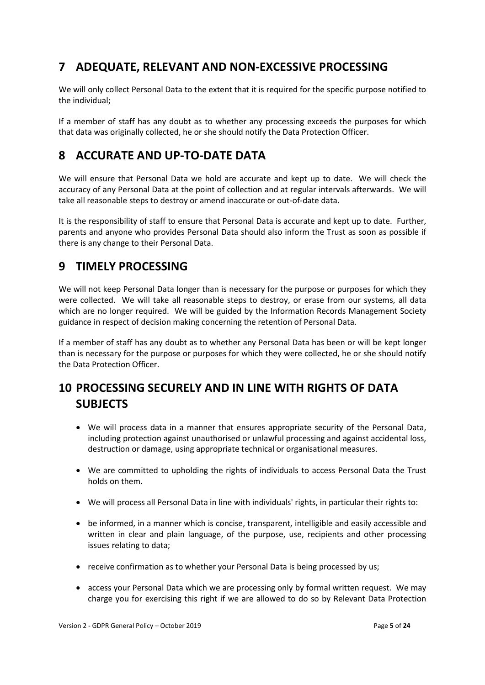# <span id="page-6-0"></span>**7 ADEQUATE, RELEVANT AND NON-EXCESSIVE PROCESSING**

We will only collect Personal Data to the extent that it is required for the specific purpose notified to the individual;

If a member of staff has any doubt as to whether any processing exceeds the purposes for which that data was originally collected, he or she should notify the Data Protection Officer.

## <span id="page-6-1"></span>**8 ACCURATE AND UP-TO-DATE DATA**

We will ensure that Personal Data we hold are accurate and kept up to date. We will check the accuracy of any Personal Data at the point of collection and at regular intervals afterwards. We will take all reasonable steps to destroy or amend inaccurate or out-of-date data.

It is the responsibility of staff to ensure that Personal Data is accurate and kept up to date. Further, parents and anyone who provides Personal Data should also inform the Trust as soon as possible if there is any change to their Personal Data.

## <span id="page-6-2"></span>**9 TIMELY PROCESSING**

We will not keep Personal Data longer than is necessary for the purpose or purposes for which they were collected. We will take all reasonable steps to destroy, or erase from our systems, all data which are no longer required. We will be guided by the Information Records Management Society guidance in respect of decision making concerning the retention of Personal Data.

If a member of staff has any doubt as to whether any Personal Data has been or will be kept longer than is necessary for the purpose or purposes for which they were collected, he or she should notify the Data Protection Officer.

# <span id="page-6-3"></span>**10 PROCESSING SECURELY AND IN LINE WITH RIGHTS OF DATA SUBJECTS**

- <span id="page-6-4"></span>• We will process data in a manner that ensures appropriate security of the Personal Data, including protection against unauthorised or unlawful processing and against accidental loss, destruction or damage, using appropriate technical or organisational measures.
- We are committed to upholding the rights of individuals to access Personal Data the Trust holds on them.
- We will process all Personal Data in line with individuals' rights, in particular their rights to:
- be informed, in a manner which is concise, transparent, intelligible and easily accessible and written in clear and plain language, of the purpose, use, recipients and other processing issues relating to data;
- receive confirmation as to whether your Personal Data is being processed by us;
- access your Personal Data which we are processing only by formal written request. We may charge you for exercising this right if we are allowed to do so by Relevant Data Protection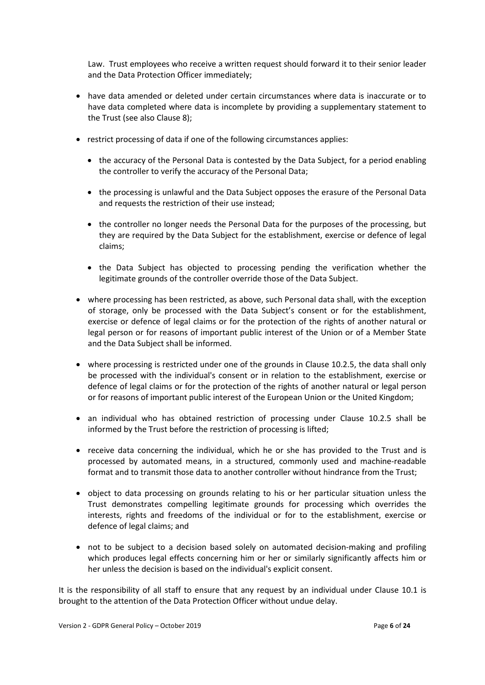Law. Trust employees who receive a written request should forward it to their senior leader and the Data Protection Officer immediately;

- have data amended or deleted under certain circumstances where data is inaccurate or to have data completed where data is incomplete by providing a supplementary statement to the Trust (see also Clause [8\)](#page-6-1);
- <span id="page-7-0"></span>• restrict processing of data if one of the following circumstances applies:
	- the accuracy of the Personal Data is contested by the Data Subject, for a period enabling the controller to verify the accuracy of the Personal Data;
	- the processing is unlawful and the Data Subject opposes the erasure of the Personal Data and requests the restriction of their use instead;
	- the controller no longer needs the Personal Data for the purposes of the processing, but they are required by the Data Subject for the establishment, exercise or defence of legal claims;
	- the Data Subject has objected to processing pending the verification whether the legitimate grounds of the controller override those of the Data Subject.
- where processing has been restricted, as above, such Personal data shall, with the exception of storage, only be processed with the Data Subject's consent or for the establishment, exercise or defence of legal claims or for the protection of the rights of another natural or legal person or for reasons of important public interest of the Union or of a Member State and the Data Subject shall be informed.
- where processing is restricted under one of the grounds in Clause [10.2.5,](#page-7-0) the data shall only be processed with the individual's consent or in relation to the establishment, exercise or defence of legal claims or for the protection of the rights of another natural or legal person or for reasons of important public interest of the European Union or the United Kingdom;
- an individual who has obtained restriction of processing under Clause [10.2.5](#page-7-0) shall be informed by the Trust before the restriction of processing is lifted;
- receive data concerning the individual, which he or she has provided to the Trust and is processed by automated means, in a structured, commonly used and machine-readable format and to transmit those data to another controller without hindrance from the Trust;
- object to data processing on grounds relating to his or her particular situation unless the Trust demonstrates compelling legitimate grounds for processing which overrides the interests, rights and freedoms of the individual or for to the establishment, exercise or defence of legal claims; and
- not to be subject to a decision based solely on automated decision-making and profiling which produces legal effects concerning him or her or similarly significantly affects him or her unless the decision is based on the individual's explicit consent.

It is the responsibility of all staff to ensure that any request by an individual under Clause [10.1](#page-6-4) is brought to the attention of the Data Protection Officer without undue delay.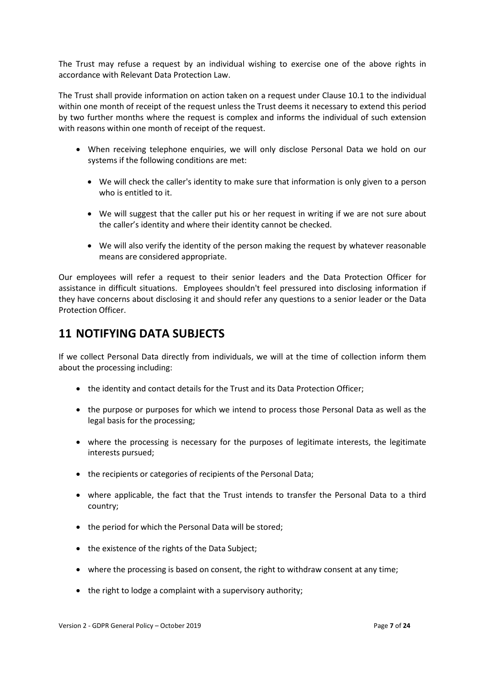The Trust may refuse a request by an individual wishing to exercise one of the above rights in accordance with Relevant Data Protection Law.

The Trust shall provide information on action taken on a request under Clause [10.1](#page-6-4) to the individual within one month of receipt of the request unless the Trust deems it necessary to extend this period by two further months where the request is complex and informs the individual of such extension with reasons within one month of receipt of the request.

- When receiving telephone enquiries, we will only disclose Personal Data we hold on our systems if the following conditions are met:
	- We will check the caller's identity to make sure that information is only given to a person who is entitled to it.
	- We will suggest that the caller put his or her request in writing if we are not sure about the caller's identity and where their identity cannot be checked.
	- We will also verify the identity of the person making the request by whatever reasonable means are considered appropriate.

Our employees will refer a request to their senior leaders and the Data Protection Officer for assistance in difficult situations. Employees shouldn't feel pressured into disclosing information if they have concerns about disclosing it and should refer any questions to a senior leader or the Data Protection Officer.

### <span id="page-8-0"></span>**11 NOTIFYING DATA SUBJECTS**

<span id="page-8-1"></span>If we collect Personal Data directly from individuals, we will at the time of collection inform them about the processing including:

- the identity and contact details for the Trust and its Data Protection Officer;
- the purpose or purposes for which we intend to process those Personal Data as well as the legal basis for the processing;
- where the processing is necessary for the purposes of legitimate interests, the legitimate interests pursued;
- the recipients or categories of recipients of the Personal Data;
- where applicable, the fact that the Trust intends to transfer the Personal Data to a third country;
- the period for which the Personal Data will be stored;
- the existence of the rights of the Data Subject;
- where the processing is based on consent, the right to withdraw consent at any time;
- the right to lodge a complaint with a supervisory authority;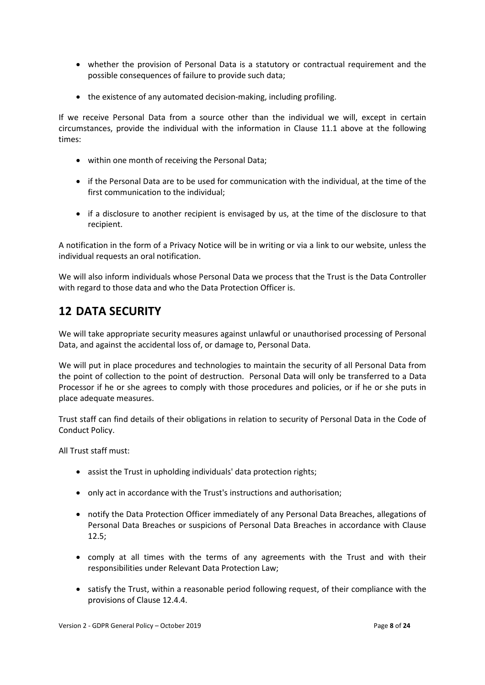- whether the provision of Personal Data is a statutory or contractual requirement and the possible consequences of failure to provide such data;
- the existence of any automated decision-making, including profiling.

If we receive Personal Data from a source other than the individual we will, except in certain circumstances, provide the individual with the information in Clause [11.1](#page-8-1) above at the following times:

- within one month of receiving the Personal Data;
- if the Personal Data are to be used for communication with the individual, at the time of the first communication to the individual;
- if a disclosure to another recipient is envisaged by us, at the time of the disclosure to that recipient.

A notification in the form of a Privacy Notice will be in writing or via a link to our website, unless the individual requests an oral notification.

We will also inform individuals whose Personal Data we process that the Trust is the Data Controller with regard to those data and who the Data Protection Officer is.

## <span id="page-9-0"></span>**12 DATA SECURITY**

<span id="page-9-2"></span>We will take appropriate security measures against unlawful or unauthorised processing of Personal Data, and against the accidental loss of, or damage to, Personal Data.

We will put in place procedures and technologies to maintain the security of all Personal Data from the point of collection to the point of destruction. Personal Data will only be transferred to a Data Processor if he or she agrees to comply with those procedures and policies, or if he or she puts in place adequate measures.

Trust staff can find details of their obligations in relation to security of Personal Data in the Code of Conduct Policy.

All Trust staff must:

- assist the Trust in upholding individuals' data protection rights;
- only act in accordance with the Trust's instructions and authorisation;
- notify the Data Protection Officer immediately of any Personal Data Breaches, allegations of Personal Data Breaches or suspicions of Personal Data Breaches in accordance with Clause [12.5;](#page-10-1)
- <span id="page-9-1"></span>• comply at all times with the terms of any agreements with the Trust and with their responsibilities under Relevant Data Protection Law;
- satisfy the Trust, within a reasonable period following request, of their compliance with the provisions of Clause [12.4.4.](#page-9-1)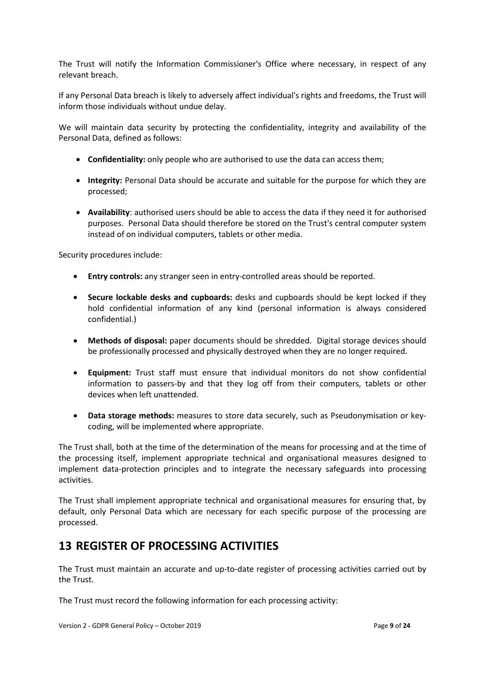<span id="page-10-1"></span>The Trust will notify the Information Commissioner's Office where necessary, in respect of any relevant breach.

If any Personal Data breach is likely to adversely affect individual's rights and freedoms, the Trust will inform those individuals without undue delay.

We will maintain data security by protecting the confidentiality, integrity and availability of the Personal Data, defined as follows:

- **Confidentiality:** only people who are authorised to use the data can access them;
- **Integrity:** Personal Data should be accurate and suitable for the purpose for which they are processed;
- **Availability**: authorised users should be able to access the data if they need it for authorised purposes. Personal Data should therefore be stored on the Trust's central computer system instead of on individual computers, tablets or other media.

Security procedures include:

- **Entry controls:** any stranger seen in entry-controlled areas should be reported.
- **Secure lockable desks and cupboards:** desks and cupboards should be kept locked if they hold confidential information of any kind (personal information is always considered confidential.)
- **Methods of disposal:** paper documents should be shredded. Digital storage devices should be professionally processed and physically destroyed when they are no longer required.
- **Equipment:** Trust staff must ensure that individual monitors do not show confidential information to passers-by and that they log off from their computers, tablets or other devices when left unattended.
- **Data storage methods:** measures to store data securely, such as Pseudonymisation or keycoding, will be implemented where appropriate.

The Trust shall, both at the time of the determination of the means for processing and at the time of the processing itself, implement appropriate technical and organisational measures designed to implement data-protection principles and to integrate the necessary safeguards into processing activities.

The Trust shall implement appropriate technical and organisational measures for ensuring that, by default, only Personal Data which are necessary for each specific purpose of the processing are processed.

### <span id="page-10-0"></span>**13 REGISTER OF PROCESSING ACTIVITIES**

The Trust must maintain an accurate and up-to-date register of processing activities carried out by the Trust.

The Trust must record the following information for each processing activity: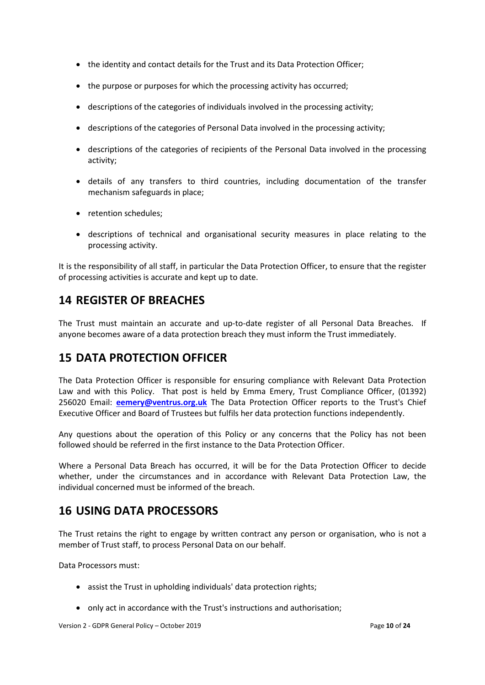- the identity and contact details for the Trust and its Data Protection Officer;
- the purpose or purposes for which the processing activity has occurred;
- descriptions of the categories of individuals involved in the processing activity;
- descriptions of the categories of Personal Data involved in the processing activity;
- descriptions of the categories of recipients of the Personal Data involved in the processing activity;
- details of any transfers to third countries, including documentation of the transfer mechanism safeguards in place;
- retention schedules;
- descriptions of technical and organisational security measures in place relating to the processing activity.

It is the responsibility of all staff, in particular the Data Protection Officer, to ensure that the register of processing activities is accurate and kept up to date.

### <span id="page-11-0"></span>**14 REGISTER OF BREACHES**

The Trust must maintain an accurate and up-to-date register of all Personal Data Breaches. If anyone becomes aware of a data protection breach they must inform the Trust immediately.

### <span id="page-11-1"></span>**15 DATA PROTECTION OFFICER**

The Data Protection Officer is responsible for ensuring compliance with Relevant Data Protection Law and with this Policy. That post is held by Emma Emery, Trust Compliance Officer, (01392) 256020 Email: **[eemery@ventrus.org.uk](mailto:eemery@ventrus.org.uk)** The Data Protection Officer reports to the Trust's Chief Executive Officer and Board of Trustees but fulfils her data protection functions independently.

Any questions about the operation of this Policy or any concerns that the Policy has not been followed should be referred in the first instance to the Data Protection Officer.

Where a Personal Data Breach has occurred, it will be for the Data Protection Officer to decide whether, under the circumstances and in accordance with Relevant Data Protection Law, the individual concerned must be informed of the breach.

### <span id="page-11-2"></span>**16 USING DATA PROCESSORS**

The Trust retains the right to engage by written contract any person or organisation, who is not a member of Trust staff, to process Personal Data on our behalf.

Data Processors must:

- assist the Trust in upholding individuals' data protection rights;
- only act in accordance with the Trust's instructions and authorisation;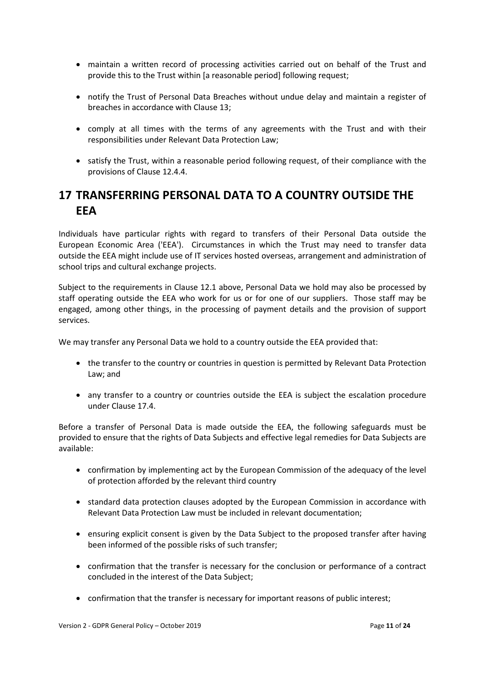- maintain a written record of processing activities carried out on behalf of the Trust and provide this to the Trust within [a reasonable period] following request;
- notify the Trust of Personal Data Breaches without undue delay and maintain a register of breaches in accordance with Clause [13;](#page-10-0)
- comply at all times with the terms of any agreements with the Trust and with their responsibilities under Relevant Data Protection Law;
- satisfy the Trust, within a reasonable period following request, of their compliance with the provisions of Clause [12.4.4.](#page-9-1)

# <span id="page-12-0"></span>**17 TRANSFERRING PERSONAL DATA TO A COUNTRY OUTSIDE THE EEA**

Individuals have particular rights with regard to transfers of their Personal Data outside the European Economic Area ('EEA'). Circumstances in which the Trust may need to transfer data outside the EEA might include use of IT services hosted overseas, arrangement and administration of school trips and cultural exchange projects.

Subject to the requirements in Clause [12.1](#page-9-2) above, Personal Data we hold may also be processed by staff operating outside the EEA who work for us or for one of our suppliers. Those staff may be engaged, among other things, in the processing of payment details and the provision of support services.

We may transfer any Personal Data we hold to a country outside the EEA provided that:

- the transfer to the country or countries in question is permitted by Relevant Data Protection Law; and
- any transfer to a country or countries outside the EEA is subject the escalation procedure under Clause [17.4.](#page-12-1)

<span id="page-12-1"></span>Before a transfer of Personal Data is made outside the EEA, the following safeguards must be provided to ensure that the rights of Data Subjects and effective legal remedies for Data Subjects are available:

- confirmation by implementing act by the European Commission of the adequacy of the level of protection afforded by the relevant third country
- standard data protection clauses adopted by the European Commission in accordance with Relevant Data Protection Law must be included in relevant documentation;
- ensuring explicit consent is given by the Data Subject to the proposed transfer after having been informed of the possible risks of such transfer;
- confirmation that the transfer is necessary for the conclusion or performance of a contract concluded in the interest of the Data Subject;
- confirmation that the transfer is necessary for important reasons of public interest;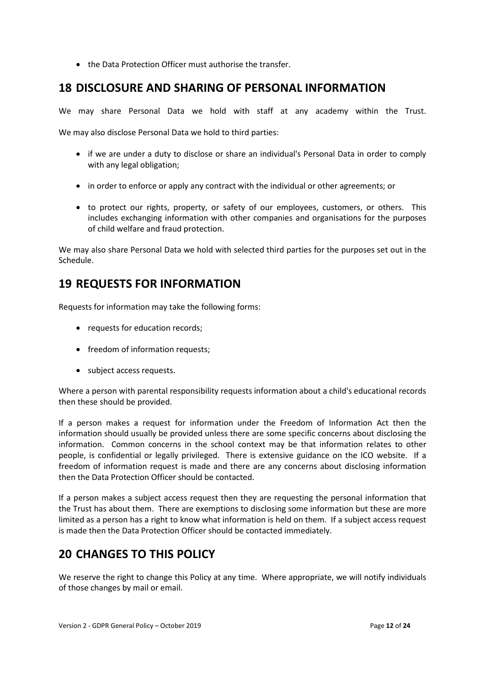• the Data Protection Officer must authorise the transfer.

### <span id="page-13-0"></span>**18 DISCLOSURE AND SHARING OF PERSONAL INFORMATION**

We may share Personal Data we hold with staff at any academy within the Trust.

We may also disclose Personal Data we hold to third parties:

- if we are under a duty to disclose or share an individual's Personal Data in order to comply with any legal obligation;
- in order to enforce or apply any contract with the individual or other agreements; or
- to protect our rights, property, or safety of our employees, customers, or others. This includes exchanging information with other companies and organisations for the purposes of child welfare and fraud protection.

We may also share Personal Data we hold with selected third parties for the purposes set out in the Schedule.

## <span id="page-13-1"></span>**19 REQUESTS FOR INFORMATION**

Requests for information may take the following forms:

- requests for education records;
- freedom of information requests;
- subject access requests.

Where a person with parental responsibility requests information about a child's educational records then these should be provided.

If a person makes a request for information under the Freedom of Information Act then the information should usually be provided unless there are some specific concerns about disclosing the information. Common concerns in the school context may be that information relates to other people, is confidential or legally privileged. There is extensive guidance on the ICO website. If a freedom of information request is made and there are any concerns about disclosing information then the Data Protection Officer should be contacted.

If a person makes a subject access request then they are requesting the personal information that the Trust has about them. There are exemptions to disclosing some information but these are more limited as a person has a right to know what information is held on them. If a subject access request is made then the Data Protection Officer should be contacted immediately.

# <span id="page-13-2"></span>**20 CHANGES TO THIS POLICY**

We reserve the right to change this Policy at any time. Where appropriate, we will notify individuals of those changes by mail or email.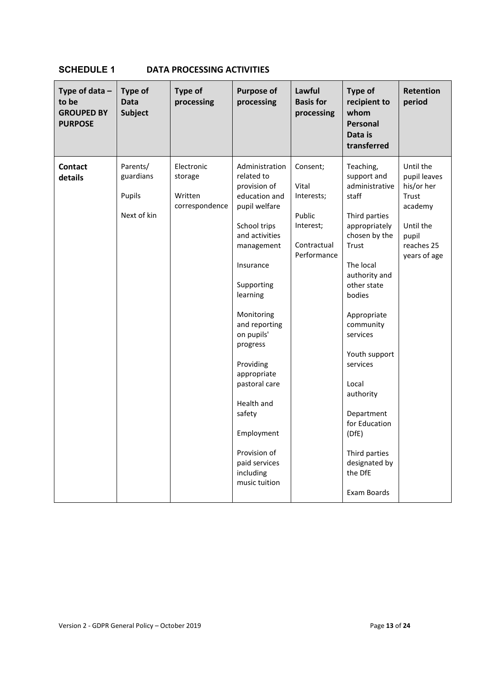### <span id="page-14-0"></span>**SCHEDULE 1 DATA PROCESSING ACTIVITIES**

| Type of data $-$<br>to be<br><b>GROUPED BY</b><br><b>PURPOSE</b> | Type of<br><b>Data</b><br><b>Subject</b>       | <b>Type of</b><br>processing                       | <b>Purpose of</b><br>processing                                                                                                                                                                                                                                                                                                                                                  | Lawful<br><b>Basis for</b><br>processing                                             | Type of<br>recipient to<br>whom<br>Personal<br>Data is<br>transferred                                                                                                                                                                                                                                                                                                 | Retention<br>period                                                                                             |
|------------------------------------------------------------------|------------------------------------------------|----------------------------------------------------|----------------------------------------------------------------------------------------------------------------------------------------------------------------------------------------------------------------------------------------------------------------------------------------------------------------------------------------------------------------------------------|--------------------------------------------------------------------------------------|-----------------------------------------------------------------------------------------------------------------------------------------------------------------------------------------------------------------------------------------------------------------------------------------------------------------------------------------------------------------------|-----------------------------------------------------------------------------------------------------------------|
| <b>Contact</b><br>details                                        | Parents/<br>guardians<br>Pupils<br>Next of kin | Electronic<br>storage<br>Written<br>correspondence | Administration<br>related to<br>provision of<br>education and<br>pupil welfare<br>School trips<br>and activities<br>management<br>Insurance<br>Supporting<br>learning<br>Monitoring<br>and reporting<br>on pupils'<br>progress<br>Providing<br>appropriate<br>pastoral care<br>Health and<br>safety<br>Employment<br>Provision of<br>paid services<br>including<br>music tuition | Consent;<br>Vital<br>Interests;<br>Public<br>Interest;<br>Contractual<br>Performance | Teaching,<br>support and<br>administrative<br>staff<br>Third parties<br>appropriately<br>chosen by the<br>Trust<br>The local<br>authority and<br>other state<br>bodies<br>Appropriate<br>community<br>services<br>Youth support<br>services<br>Local<br>authority<br>Department<br>for Education<br>(DfE)<br>Third parties<br>designated by<br>the DfE<br>Exam Boards | Until the<br>pupil leaves<br>his/or her<br>Trust<br>academy<br>Until the<br>pupil<br>reaches 25<br>years of age |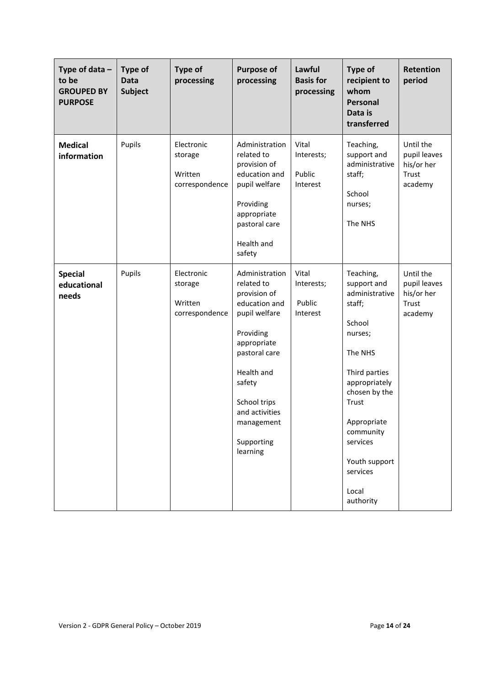| Type of data $-$<br>to be<br><b>GROUPED BY</b><br><b>PURPOSE</b> | Type of<br><b>Data</b><br><b>Subject</b> | <b>Type of</b><br>processing                       | <b>Purpose of</b><br>processing                                                                                                                                                                                               | Lawful<br><b>Basis for</b><br>processing  | <b>Type of</b><br>recipient to<br>whom<br><b>Personal</b><br>Data is<br>transferred                                                                                                                                                         | <b>Retention</b><br>period                                  |
|------------------------------------------------------------------|------------------------------------------|----------------------------------------------------|-------------------------------------------------------------------------------------------------------------------------------------------------------------------------------------------------------------------------------|-------------------------------------------|---------------------------------------------------------------------------------------------------------------------------------------------------------------------------------------------------------------------------------------------|-------------------------------------------------------------|
| <b>Medical</b><br>information                                    | Pupils                                   | Electronic<br>storage<br>Written<br>correspondence | Administration<br>related to<br>provision of<br>education and<br>pupil welfare<br>Providing<br>appropriate<br>pastoral care<br>Health and<br>safety                                                                           | Vital<br>Interests;<br>Public<br>Interest | Teaching,<br>support and<br>administrative<br>staff;<br>School<br>nurses;<br>The NHS                                                                                                                                                        | Until the<br>pupil leaves<br>his/or her<br>Trust<br>academy |
| <b>Special</b><br>educational<br>needs                           | Pupils                                   | Electronic<br>storage<br>Written<br>correspondence | Administration<br>related to<br>provision of<br>education and<br>pupil welfare<br>Providing<br>appropriate<br>pastoral care<br>Health and<br>safety<br>School trips<br>and activities<br>management<br>Supporting<br>learning | Vital<br>Interests;<br>Public<br>Interest | Teaching,<br>support and<br>administrative<br>staff;<br>School<br>nurses;<br>The NHS<br>Third parties<br>appropriately<br>chosen by the<br>Trust<br>Appropriate<br>community<br>services<br>Youth support<br>services<br>Local<br>authority | Until the<br>pupil leaves<br>his/or her<br>Trust<br>academy |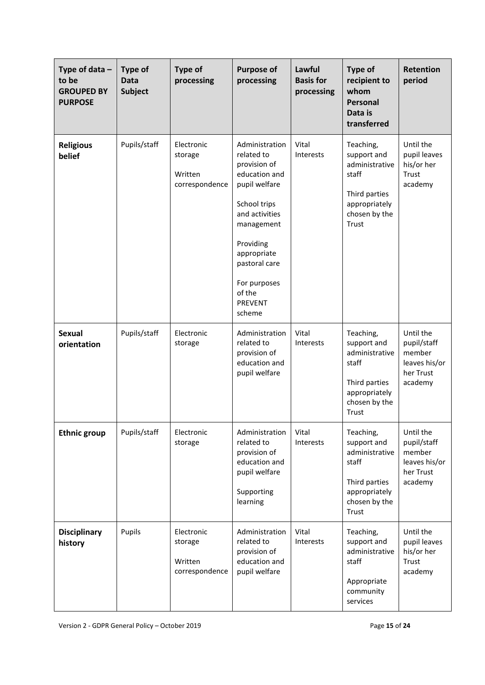| Type of data $-$<br>to be<br><b>GROUPED BY</b><br><b>PURPOSE</b> | Type of<br><b>Data</b><br><b>Subject</b> | <b>Type of</b><br>processing                       | <b>Purpose of</b><br>processing                                                                                                                                                                                                   | Lawful<br><b>Basis for</b><br>processing | Type of<br>recipient to<br>whom<br><b>Personal</b><br>Data is<br>transferred                                    | <b>Retention</b><br>period                                                  |
|------------------------------------------------------------------|------------------------------------------|----------------------------------------------------|-----------------------------------------------------------------------------------------------------------------------------------------------------------------------------------------------------------------------------------|------------------------------------------|-----------------------------------------------------------------------------------------------------------------|-----------------------------------------------------------------------------|
| <b>Religious</b><br>belief                                       | Pupils/staff                             | Electronic<br>storage<br>Written<br>correspondence | Administration<br>related to<br>provision of<br>education and<br>pupil welfare<br>School trips<br>and activities<br>management<br>Providing<br>appropriate<br>pastoral care<br>For purposes<br>of the<br><b>PREVENT</b><br>scheme | Vital<br><b>Interests</b>                | Teaching,<br>support and<br>administrative<br>staff<br>Third parties<br>appropriately<br>chosen by the<br>Trust | Until the<br>pupil leaves<br>his/or her<br>Trust<br>academy                 |
| <b>Sexual</b><br>orientation                                     | Pupils/staff                             | Electronic<br>storage                              | Administration<br>related to<br>provision of<br>education and<br>pupil welfare                                                                                                                                                    | Vital<br>Interests                       | Teaching,<br>support and<br>administrative<br>staff<br>Third parties<br>appropriately<br>chosen by the<br>Trust | Until the<br>pupil/staff<br>member<br>leaves his/or<br>her Trust<br>academy |
| <b>Ethnic group</b>                                              | Pupils/staff                             | Electronic<br>storage                              | Administration<br>related to<br>provision of<br>education and<br>pupil welfare<br>Supporting<br>learning                                                                                                                          | Vital<br>Interests                       | Teaching,<br>support and<br>administrative<br>staff<br>Third parties<br>appropriately<br>chosen by the<br>Trust | Until the<br>pupil/staff<br>member<br>leaves his/or<br>her Trust<br>academy |
| <b>Disciplinary</b><br>history                                   | Pupils                                   | Electronic<br>storage<br>Written<br>correspondence | Administration<br>related to<br>provision of<br>education and<br>pupil welfare                                                                                                                                                    | Vital<br>Interests                       | Teaching,<br>support and<br>administrative<br>staff<br>Appropriate<br>community<br>services                     | Until the<br>pupil leaves<br>his/or her<br>Trust<br>academy                 |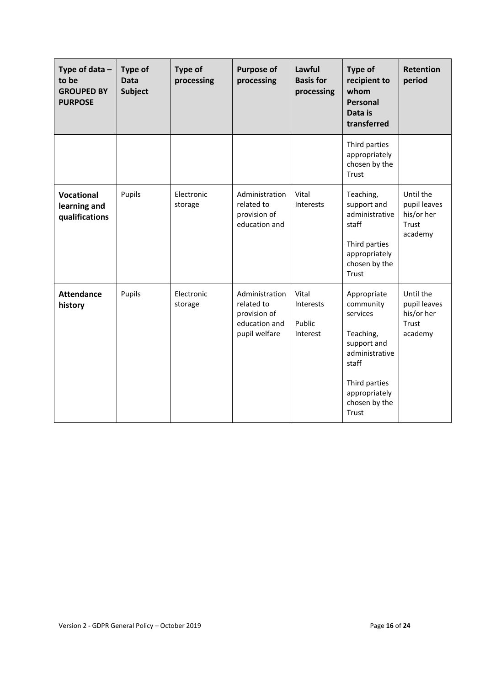| Type of data $-$<br>to be<br><b>GROUPED BY</b><br><b>PURPOSE</b> | Type of<br><b>Data</b><br><b>Subject</b> | <b>Type of</b><br>processing | <b>Purpose of</b><br>processing                                                | Lawful<br><b>Basis for</b><br>processing | Type of<br>recipient to<br>whom<br><b>Personal</b><br>Data is<br>transferred                                                                            | <b>Retention</b><br>period                                  |
|------------------------------------------------------------------|------------------------------------------|------------------------------|--------------------------------------------------------------------------------|------------------------------------------|---------------------------------------------------------------------------------------------------------------------------------------------------------|-------------------------------------------------------------|
|                                                                  |                                          |                              |                                                                                |                                          | Third parties<br>appropriately<br>chosen by the<br>Trust                                                                                                |                                                             |
| <b>Vocational</b><br>learning and<br>qualifications              | Pupils                                   | Electronic<br>storage        | Administration<br>related to<br>provision of<br>education and                  | Vital<br>Interests                       | Teaching,<br>support and<br>administrative<br>staff<br>Third parties<br>appropriately<br>chosen by the<br>Trust                                         | Until the<br>pupil leaves<br>his/or her<br>Trust<br>academy |
| <b>Attendance</b><br>history                                     | Pupils                                   | Electronic<br>storage        | Administration<br>related to<br>provision of<br>education and<br>pupil welfare | Vital<br>Interests<br>Public<br>Interest | Appropriate<br>community<br>services<br>Teaching,<br>support and<br>administrative<br>staff<br>Third parties<br>appropriately<br>chosen by the<br>Trust | Until the<br>pupil leaves<br>his/or her<br>Trust<br>academy |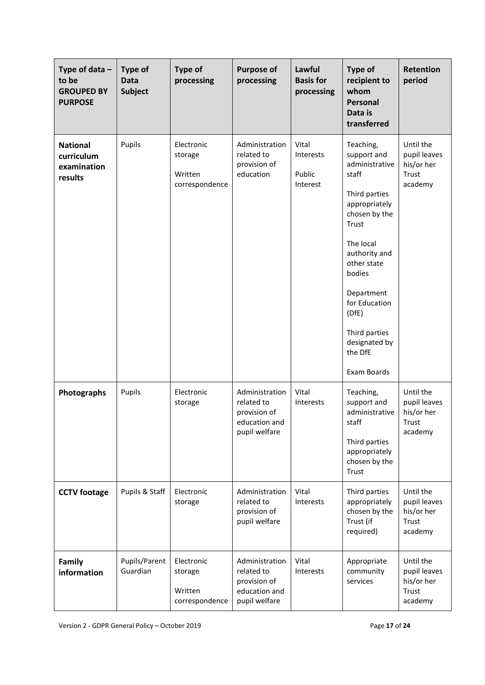| Type of data $-$<br>to be<br><b>GROUPED BY</b><br><b>PURPOSE</b> | <b>Type of</b><br><b>Data</b><br><b>Subject</b> | <b>Type of</b><br>processing                       | <b>Purpose of</b><br>processing                                                | Lawful<br><b>Basis for</b><br>processing | <b>Type of</b><br>recipient to<br>whom<br>Personal<br>Data is<br>transferred                                                                                                                                                                                               | <b>Retention</b><br>period                                  |
|------------------------------------------------------------------|-------------------------------------------------|----------------------------------------------------|--------------------------------------------------------------------------------|------------------------------------------|----------------------------------------------------------------------------------------------------------------------------------------------------------------------------------------------------------------------------------------------------------------------------|-------------------------------------------------------------|
| <b>National</b><br>curriculum<br>examination<br>results          | Pupils                                          | Electronic<br>storage<br>Written<br>correspondence | Administration<br>related to<br>provision of<br>education                      | Vital<br>Interests<br>Public<br>Interest | Teaching,<br>support and<br>administrative<br>staff<br>Third parties<br>appropriately<br>chosen by the<br>Trust<br>The local<br>authority and<br>other state<br>bodies<br>Department<br>for Education<br>(DfE)<br>Third parties<br>designated by<br>the DfE<br>Exam Boards | Until the<br>pupil leaves<br>his/or her<br>Trust<br>academy |
| Photographs                                                      | Pupils                                          | Electronic<br>storage                              | Administration<br>related to<br>provision of<br>education and<br>pupil welfare | Vital<br>Interests                       | Teaching,<br>support and<br>administrative<br>staff<br>Third parties<br>appropriately<br>chosen by the<br>Trust                                                                                                                                                            | Until the<br>pupil leaves<br>his/or her<br>Trust<br>academy |
| <b>CCTV footage</b>                                              | Pupils & Staff                                  | Electronic<br>storage                              | Administration<br>related to<br>provision of<br>pupil welfare                  | Vital<br>Interests                       | Third parties<br>appropriately<br>chosen by the<br>Trust (if<br>required)                                                                                                                                                                                                  | Until the<br>pupil leaves<br>his/or her<br>Trust<br>academy |
| Family<br>information                                            | Pupils/Parent<br>Guardian                       | Electronic<br>storage<br>Written<br>correspondence | Administration<br>related to<br>provision of<br>education and<br>pupil welfare | Vital<br>Interests                       | Appropriate<br>community<br>services                                                                                                                                                                                                                                       | Until the<br>pupil leaves<br>his/or her<br>Trust<br>academy |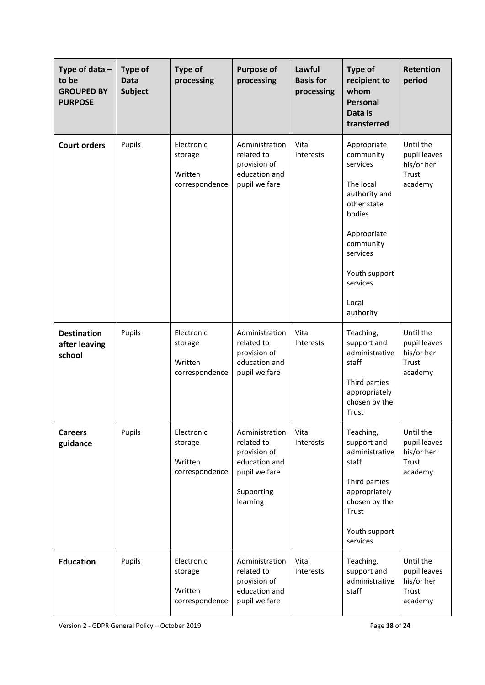| Type of data $-$<br>to be<br><b>GROUPED BY</b><br><b>PURPOSE</b> | <b>Type of</b><br><b>Data</b><br><b>Subject</b> | <b>Type of</b><br>processing                       | <b>Purpose of</b><br>processing                                                                          | Lawful<br><b>Basis for</b><br>processing | Type of<br>recipient to<br>whom<br>Personal<br>Data is<br>transferred                                                                                                                  | <b>Retention</b><br>period                                  |
|------------------------------------------------------------------|-------------------------------------------------|----------------------------------------------------|----------------------------------------------------------------------------------------------------------|------------------------------------------|----------------------------------------------------------------------------------------------------------------------------------------------------------------------------------------|-------------------------------------------------------------|
| <b>Court orders</b>                                              | Pupils                                          | Electronic<br>storage<br>Written<br>correspondence | Administration<br>related to<br>provision of<br>education and<br>pupil welfare                           | Vital<br>Interests                       | Appropriate<br>community<br>services<br>The local<br>authority and<br>other state<br>bodies<br>Appropriate<br>community<br>services<br>Youth support<br>services<br>Local<br>authority | Until the<br>pupil leaves<br>his/or her<br>Trust<br>academy |
| <b>Destination</b><br>after leaving<br>school                    | Pupils                                          | Electronic<br>storage<br>Written<br>correspondence | Administration<br>related to<br>provision of<br>education and<br>pupil welfare                           | Vital<br>Interests                       | Teaching,<br>support and<br>administrative<br>staff<br>Third parties<br>appropriately<br>chosen by the<br>Trust                                                                        | Until the<br>pupil leaves<br>his/or her<br>Trust<br>academy |
| <b>Careers</b><br>guidance                                       | Pupils                                          | Electronic<br>storage<br>Written<br>correspondence | Administration<br>related to<br>provision of<br>education and<br>pupil welfare<br>Supporting<br>learning | Vital<br>Interests                       | Teaching,<br>support and<br>administrative<br>staff<br>Third parties<br>appropriately<br>chosen by the<br>Trust<br>Youth support<br>services                                           | Until the<br>pupil leaves<br>his/or her<br>Trust<br>academy |
| <b>Education</b>                                                 | Pupils                                          | Electronic<br>storage<br>Written<br>correspondence | Administration<br>related to<br>provision of<br>education and<br>pupil welfare                           | Vital<br>Interests                       | Teaching,<br>support and<br>administrative<br>staff                                                                                                                                    | Until the<br>pupil leaves<br>his/or her<br>Trust<br>academy |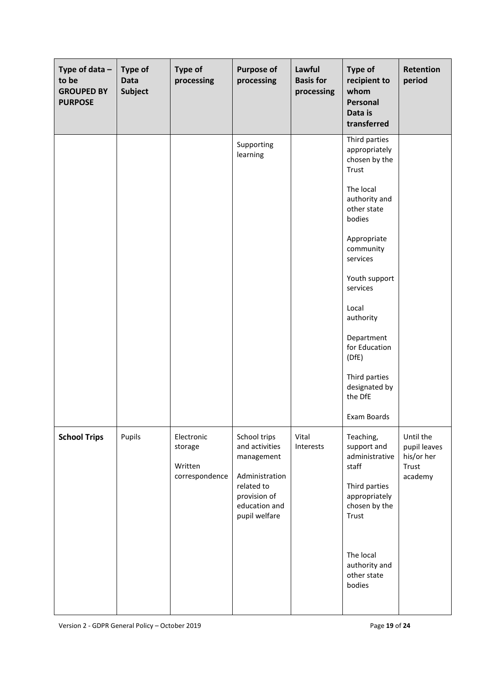| Type of data $-$<br>to be<br><b>GROUPED BY</b><br><b>PURPOSE</b> | <b>Type of</b><br><b>Data</b><br><b>Subject</b> | <b>Type of</b><br>processing                       | <b>Purpose of</b><br>processing                                                                                                | Lawful<br><b>Basis for</b><br>processing | <b>Type of</b><br>recipient to<br>whom<br>Personal<br>Data is<br>transferred                                                                                                                                                                                                                                   | Retention<br>period                                         |
|------------------------------------------------------------------|-------------------------------------------------|----------------------------------------------------|--------------------------------------------------------------------------------------------------------------------------------|------------------------------------------|----------------------------------------------------------------------------------------------------------------------------------------------------------------------------------------------------------------------------------------------------------------------------------------------------------------|-------------------------------------------------------------|
|                                                                  |                                                 |                                                    | Supporting<br>learning                                                                                                         |                                          | Third parties<br>appropriately<br>chosen by the<br>Trust<br>The local<br>authority and<br>other state<br>bodies<br>Appropriate<br>community<br>services<br>Youth support<br>services<br>Local<br>authority<br>Department<br>for Education<br>(DfE)<br>Third parties<br>designated by<br>the DfE<br>Exam Boards |                                                             |
| <b>School Trips</b>                                              | Pupils                                          | Electronic<br>storage<br>Written<br>correspondence | School trips<br>and activities<br>management<br>Administration<br>related to<br>provision of<br>education and<br>pupil welfare | Vital<br>Interests                       | Teaching,<br>support and<br>administrative<br>staff<br>Third parties<br>appropriately<br>chosen by the<br>Trust<br>The local<br>authority and<br>other state<br>bodies                                                                                                                                         | Until the<br>pupil leaves<br>his/or her<br>Trust<br>academy |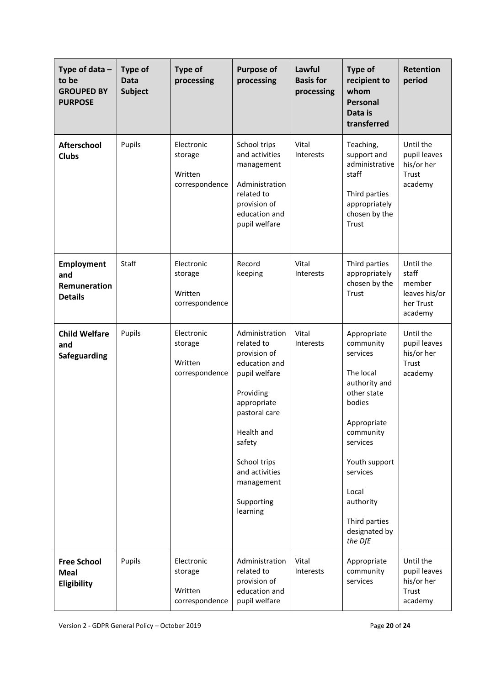| Type of data $-$<br>to be<br><b>GROUPED BY</b><br><b>PURPOSE</b> | <b>Type of</b><br><b>Data</b><br><b>Subject</b> | <b>Type of</b><br>processing                       | <b>Purpose of</b><br>processing                                                                                                                                                                                               | Lawful<br><b>Basis for</b><br>processing | <b>Type of</b><br>recipient to<br>whom<br><b>Personal</b><br>Data is<br>transferred                                                                                                                                                 | <b>Retention</b><br>period                                            |
|------------------------------------------------------------------|-------------------------------------------------|----------------------------------------------------|-------------------------------------------------------------------------------------------------------------------------------------------------------------------------------------------------------------------------------|------------------------------------------|-------------------------------------------------------------------------------------------------------------------------------------------------------------------------------------------------------------------------------------|-----------------------------------------------------------------------|
| <b>Afterschool</b><br><b>Clubs</b>                               | Pupils                                          | Electronic<br>storage<br>Written<br>correspondence | School trips<br>and activities<br>management<br>Administration<br>related to<br>provision of<br>education and<br>pupil welfare                                                                                                | Vital<br><b>Interests</b>                | Teaching,<br>support and<br>administrative<br>staff<br>Third parties<br>appropriately<br>chosen by the<br>Trust                                                                                                                     | Until the<br>pupil leaves<br>his/or her<br>Trust<br>academy           |
| <b>Employment</b><br>and<br>Remuneration<br><b>Details</b>       | Staff                                           | Electronic<br>storage<br>Written<br>correspondence | Record<br>keeping                                                                                                                                                                                                             | Vital<br>Interests                       | Third parties<br>appropriately<br>chosen by the<br>Trust                                                                                                                                                                            | Until the<br>staff<br>member<br>leaves his/or<br>her Trust<br>academy |
| <b>Child Welfare</b><br>and<br>Safeguarding                      | Pupils                                          | Electronic<br>storage<br>Written<br>correspondence | Administration<br>related to<br>provision of<br>education and<br>pupil welfare<br>Providing<br>appropriate<br>pastoral care<br>Health and<br>safety<br>School trips<br>and activities<br>management<br>Supporting<br>learning | Vital<br>Interests                       | Appropriate<br>community<br>services<br>The local<br>authority and<br>other state<br>bodies<br>Appropriate<br>community<br>services<br>Youth support<br>services<br>Local<br>authority<br>Third parties<br>designated by<br>the DfE | Until the<br>pupil leaves<br>his/or her<br>Trust<br>academy           |
| <b>Free School</b><br><b>Meal</b><br>Eligibility                 | Pupils                                          | Electronic<br>storage<br>Written<br>correspondence | Administration<br>related to<br>provision of<br>education and<br>pupil welfare                                                                                                                                                | Vital<br>Interests                       | Appropriate<br>community<br>services                                                                                                                                                                                                | Until the<br>pupil leaves<br>his/or her<br>Trust<br>academy           |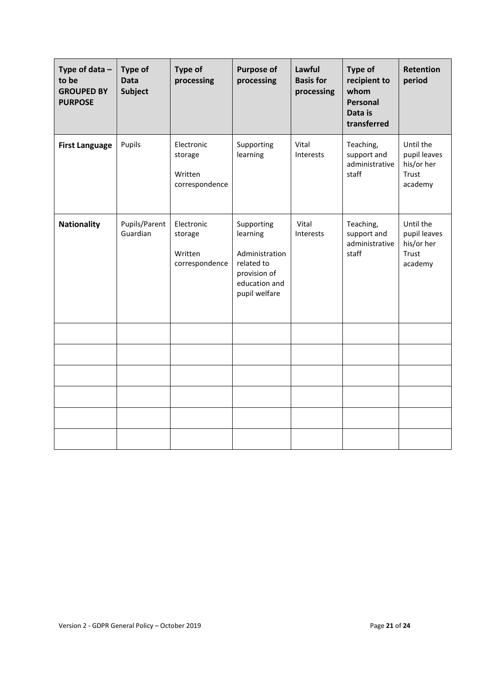| Type of data $-$<br>to be<br><b>GROUPED BY</b><br><b>PURPOSE</b> | <b>Type of</b><br><b>Data</b><br><b>Subject</b> | <b>Type of</b><br>processing                       | <b>Purpose of</b><br>processing                                                                          | Lawful<br><b>Basis for</b><br>processing | <b>Type of</b><br>recipient to<br>whom<br>Personal<br>Data is<br>transferred | <b>Retention</b><br>period                                         |
|------------------------------------------------------------------|-------------------------------------------------|----------------------------------------------------|----------------------------------------------------------------------------------------------------------|------------------------------------------|------------------------------------------------------------------------------|--------------------------------------------------------------------|
| <b>First Language</b>                                            | Pupils                                          | Electronic<br>storage<br>Written<br>correspondence | Supporting<br>learning                                                                                   | Vital<br>Interests                       | Teaching,<br>support and<br>administrative<br>staff                          | Until the<br>pupil leaves<br>his/or her<br>Trust<br>academy        |
| <b>Nationality</b>                                               | Pupils/Parent<br>Guardian                       | Electronic<br>storage<br>Written<br>correspondence | Supporting<br>learning<br>Administration<br>related to<br>provision of<br>education and<br>pupil welfare | Vital<br>Interests                       | Teaching,<br>support and<br>administrative<br>staff                          | Until the<br>pupil leaves<br>his/or her<br><b>Trust</b><br>academy |
|                                                                  |                                                 |                                                    |                                                                                                          |                                          |                                                                              |                                                                    |
|                                                                  |                                                 |                                                    |                                                                                                          |                                          |                                                                              |                                                                    |
|                                                                  |                                                 |                                                    |                                                                                                          |                                          |                                                                              |                                                                    |
|                                                                  |                                                 |                                                    |                                                                                                          |                                          |                                                                              |                                                                    |
|                                                                  |                                                 |                                                    |                                                                                                          |                                          |                                                                              |                                                                    |
|                                                                  |                                                 |                                                    |                                                                                                          |                                          |                                                                              |                                                                    |